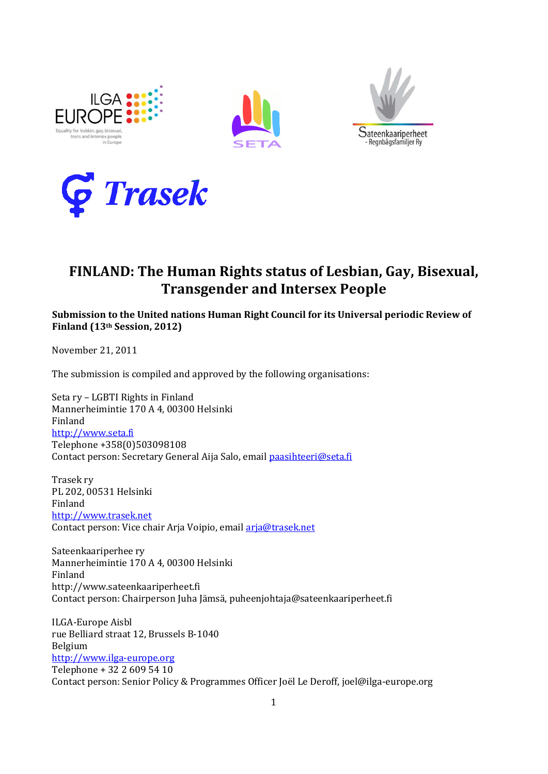







# **FINLAND: The Human Rights status of Lesbian, Gay, Bisexual, Transgender and Intersex People**

**Submission to the United nations Human Right Council for its Universal periodic Review of Finland (13th Session, 2012)**

November 21, 2011

The submission is compiled and approved by the following organisations:

Seta ry – LGBTI Rights in Finland Mannerheimintie 170 A 4, 00300 Helsinki Finland [http://www.seta.fi](http://www.seta.fi/) Telephone +358(0)503098108 Contact person: Secretary General Aija Salo, emai[l paasihteeri@seta.fi](mailto:paasihteeri@seta.fi)

Trasek ry PL 202, 00531 Helsinki Finland [http://www.trasek.net](http://www.trasek.net/) Contact person: Vice chair Arja Voipio, email [arja@trasek.net](mailto:arja@trasek.net)

Sateenkaariperhee ry Mannerheimintie 170 A 4, 00300 Helsinki Finland http://www.sateenkaariperheet.fi Contact person: Chairperson Juha Jämsä, puheenjohtaja@sateenkaariperheet.fi

ILGA-Europe Aisbl rue Belliard straat 12, Brussels B-1040 Belgium [http://www.ilga-europe.org](http://www.ilga-europe.org/) Telephone + 32 2 609 54 10 Contact person: Senior Policy & Programmes Officer Joël Le Deroff, joel@ilga-europe.org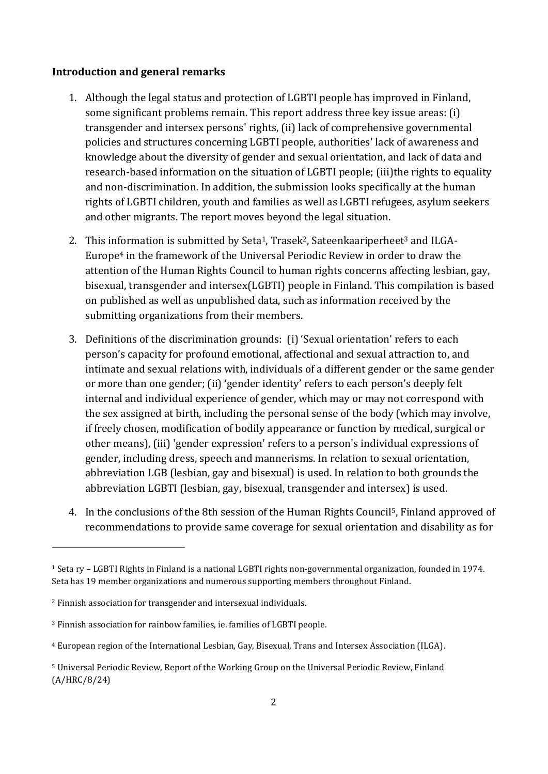# **Introduction and general remarks**

- 1. Although the legal status and protection of LGBTI people has improved in Finland, some significant problems remain. This report address three key issue areas: (i) transgender and intersex persons' rights, (ii) lack of comprehensive governmental policies and structures concerning LGBTI people, authorities' lack of awareness and knowledge about the diversity of gender and sexual orientation, and lack of data and research-based information on the situation of LGBTI people; (iii)the rights to equality and non-discrimination. In addition, the submission looks specifically at the human rights of LGBTI children, youth and families as well as LGBTI refugees, asylum seekers and other migrants. The report moves beyond the legal situation.
- 2. This information is submitted by Seta<sup>1</sup>, Trasek<sup>2</sup>, Sateenkaariperheet<sup>3</sup> and ILGA-Europe<sup>4</sup> in the framework of the Universal Periodic Review in order to draw the attention of the Human Rights Council to human rights concerns affecting lesbian, gay, bisexual, transgender and intersex(LGBTI) people in Finland. This compilation is based on published as well as unpublished data, such as information received by the submitting organizations from their members.
- 3. Definitions of the discrimination grounds: (i) 'Sexual orientation' refers to each person's capacity for profound emotional, affectional and sexual attraction to, and intimate and sexual relations with, individuals of a different gender or the same gender or more than one gender; (ii) 'gender identity' refers to each person's deeply felt internal and individual experience of gender, which may or may not correspond with the sex assigned at birth, including the personal sense of the body (which may involve, if freely chosen, modification of bodily appearance or function by medical, surgical or other means), (iii) 'gender expression' refers to a person's individual expressions of gender, including dress, speech and mannerisms. In relation to sexual orientation, abbreviation LGB (lesbian, gay and bisexual) is used. In relation to both grounds the abbreviation LGBTI (lesbian, gay, bisexual, transgender and intersex) is used.
- 4. In the conclusions of the 8th session of the Human Rights Council5, Finland approved of recommendations to provide same coverage for sexual orientation and disability as for

-

<sup>1</sup> Seta ry – LGBTI Rights in Finland is a national LGBTI rights non-governmental organization, founded in 1974. Seta has 19 member organizations and numerous supporting members throughout Finland.

<sup>2</sup> Finnish association for transgender and intersexual individuals.

<sup>3</sup> Finnish association for rainbow families, ie. families of LGBTI people.

<sup>4</sup> European region of the International Lesbian, Gay, Bisexual, Trans and Intersex Association (ILGA).

<sup>5</sup> Universal Periodic Review, Report of the Working Group on the Universal Periodic Review, Finland (A/HRC/8/24)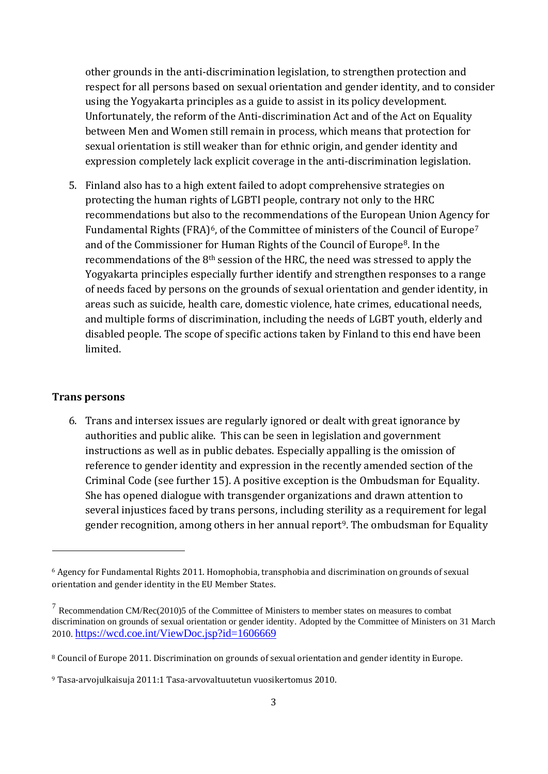other grounds in the anti-discrimination legislation, to strengthen protection and respect for all persons based on sexual orientation and gender identity, and to consider using the Yogyakarta principles as a guide to assist in its policy development. Unfortunately, the reform of the Anti-discrimination Act and of the Act on Equality between Men and Women still remain in process, which means that protection for sexual orientation is still weaker than for ethnic origin, and gender identity and expression completely lack explicit coverage in the anti-discrimination legislation.

5. Finland also has to a high extent failed to adopt comprehensive strategies on protecting the human rights of LGBTI people, contrary not only to the HRC recommendations but also to the recommendations of the European Union Agency for Fundamental Rights (FRA)<sup>6</sup>, of the Committee of ministers of the Council of Europe<sup>7</sup> and of the Commissioner for Human Rights of the Council of Europe8. In the recommendations of the 8th session of the HRC, the need was stressed to apply the Yogyakarta principles especially further identify and strengthen responses to a range of needs faced by persons on the grounds of sexual orientation and gender identity, in areas such as suicide, health care, domestic violence, hate crimes, educational needs, and multiple forms of discrimination, including the needs of LGBT youth, elderly and disabled people. The scope of specific actions taken by Finland to this end have been limited.

### **Trans persons**

-

6. Trans and intersex issues are regularly ignored or dealt with great ignorance by authorities and public alike. This can be seen in legislation and government instructions as well as in public debates. Especially appalling is the omission of reference to gender identity and expression in the recently amended section of the Criminal Code (see further 15). A positive exception is the Ombudsman for Equality. She has opened dialogue with transgender organizations and drawn attention to several injustices faced by trans persons, including sterility as a requirement for legal gender recognition, among others in her annual report<sup>9</sup>. The ombudsman for Equality

<sup>6</sup> Agency for Fundamental Rights 2011. Homophobia, transphobia and discrimination on grounds of sexual orientation and gender identity in the EU Member States.

 $<sup>7</sup>$  Recommendation CM/Rec(2010)5 of the Committee of Ministers to member states on measures to combat</sup> discrimination on grounds of sexual orientation or gender identity. Adopted by the Committee of Ministers on 31 March 2010. <https://wcd.coe.int/ViewDoc.jsp?id=1606669>

<sup>8</sup> Council of Europe 2011. Discrimination on grounds of sexual orientation and gender identity in Europe.

<sup>9</sup> Tasa-arvojulkaisuja 2011:1 Tasa-arvovaltuutetun vuosikertomus 2010.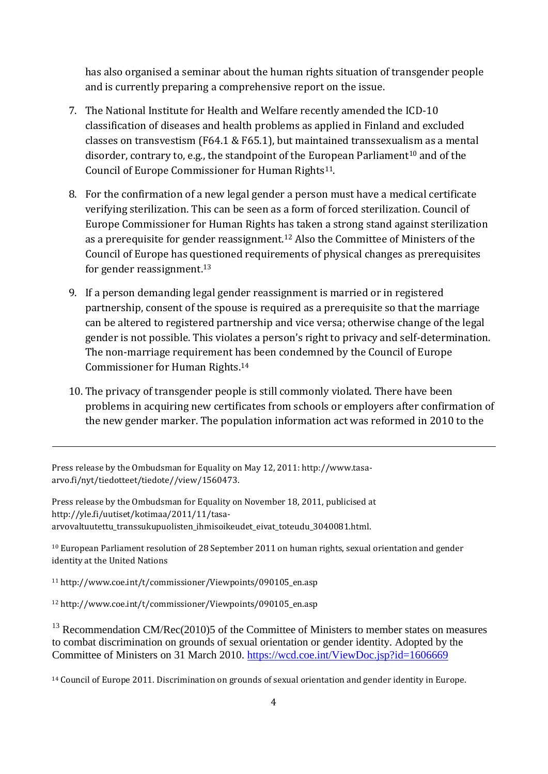has also organised a seminar about the human rights situation of transgender people and is currently preparing a comprehensive report on the issue.

- 7. The National Institute for Health and Welfare recently amended the ICD-10 classification of diseases and health problems as applied in Finland and excluded classes on transvestism (F64.1 & F65.1), but maintained transsexualism as a mental disorder, contrary to, e.g., the standpoint of the European Parliament<sup>10</sup> and of the Council of Europe Commissioner for Human Rights<sup>11</sup>.
- 8. For the confirmation of a new legal gender a person must have a medical certificate verifying sterilization. This can be seen as a form of forced sterilization. Council of Europe Commissioner for Human Rights has taken a strong stand against sterilization as a prerequisite for gender reassignment.<sup>12</sup> Also the Committee of Ministers of the Council of Europe has questioned requirements of physical changes as prerequisites for gender reassignment.<sup>13</sup>
- 9. If a person demanding legal gender reassignment is married or in registered partnership, consent of the spouse is required as a prerequisite so that the marriage can be altered to registered partnership and vice versa; otherwise change of the legal gender is not possible. This violates a person's right to privacy and self-determination. The non-marriage requirement has been condemned by the Council of Europe Commissioner for Human Rights.<sup>14</sup>
- 10. The privacy of transgender people is still commonly violated. There have been problems in acquiring new certificates from schools or employers after confirmation of the new gender marker. The population information act was reformed in 2010 to the

Press release by the Ombudsman for Equality on May 12, 2011: http://www.tasaarvo.fi/nyt/tiedotteet/tiedote//view/1560473.

Press release by the Ombudsman for Equality on November 18, 2011, publicised at http://yle.fi/uutiset/kotimaa/2011/11/tasaarvovaltuutettu\_transsukupuolisten\_ihmisoikeudet\_eivat\_toteudu\_3040081.html.

<sup>10</sup> European Parliament resolution of 28 September 2011 on human rights, sexual orientation and gender identity at the United Nations

<sup>11</sup> http://www.coe.int/t/commissioner/Viewpoints/090105\_en.asp

-

<sup>12</sup> http://www.coe.int/t/commissioner/Viewpoints/090105\_en.asp

 $13$  Recommendation CM/Rec(2010)5 of the Committee of Ministers to member states on measures to combat discrimination on grounds of sexual orientation or gender identity. Adopted by the Committee of Ministers on 31 March 2010.<https://wcd.coe.int/ViewDoc.jsp?id=1606669>

<sup>14</sup> Council of Europe 2011. Discrimination on grounds of sexual orientation and gender identity in Europe.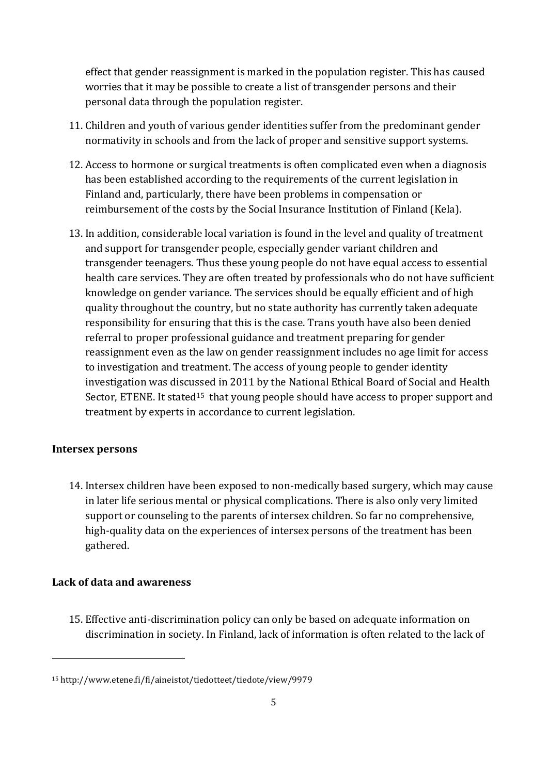effect that gender reassignment is marked in the population register. This has caused worries that it may be possible to create a list of transgender persons and their personal data through the population register.

- 11. Children and youth of various gender identities suffer from the predominant gender normativity in schools and from the lack of proper and sensitive support systems.
- 12. Access to hormone or surgical treatments is often complicated even when a diagnosis has been established according to the requirements of the current legislation in Finland and, particularly, there have been problems in compensation or reimbursement of the costs by the Social Insurance Institution of Finland (Kela).
- 13. In addition, considerable local variation is found in the level and quality of treatment and support for transgender people, especially gender variant children and transgender teenagers. Thus these young people do not have equal access to essential health care services. They are often treated by professionals who do not have sufficient knowledge on gender variance. The services should be equally efficient and of high quality throughout the country, but no state authority has currently taken adequate responsibility for ensuring that this is the case. Trans youth have also been denied referral to proper professional guidance and treatment preparing for gender reassignment even as the law on gender reassignment includes no age limit for access to investigation and treatment. The access of young people to gender identity investigation was discussed in 2011 by the National Ethical Board of Social and Health Sector, ETENE. It stated<sup>15</sup> that young people should have access to proper support and treatment by experts in accordance to current legislation.

# **Intersex persons**

.<br>-

14. Intersex children have been exposed to non-medically based surgery, which may cause in later life serious mental or physical complications. There is also only very limited support or counseling to the parents of intersex children. So far no comprehensive, high-quality data on the experiences of intersex persons of the treatment has been gathered.

# **Lack of data and awareness**

15. Effective anti-discrimination policy can only be based on adequate information on discrimination in society. In Finland, lack of information is often related to the lack of

<sup>15</sup> http://www.etene.fi/fi/aineistot/tiedotteet/tiedote/view/9979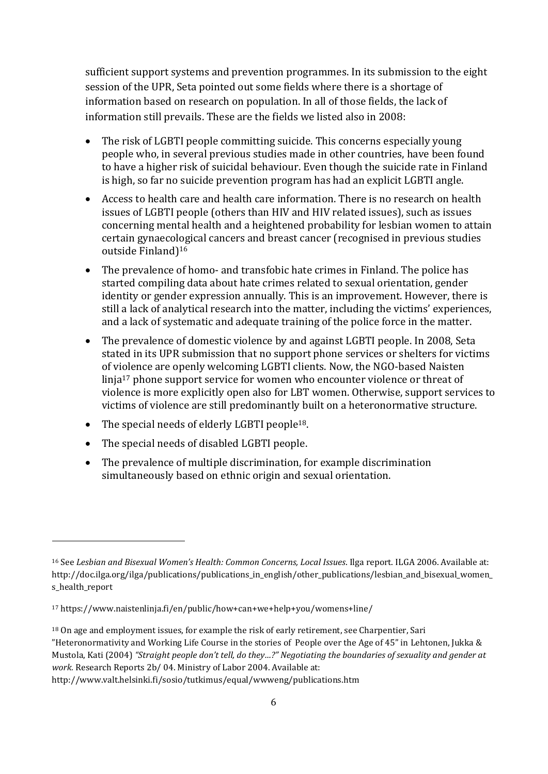sufficient support systems and prevention programmes. In its submission to the eight session of the UPR, Seta pointed out some fields where there is a shortage of information based on research on population. In all of those fields, the lack of information still prevails. These are the fields we listed also in 2008:

- The risk of LGBTI people committing suicide. This concerns especially young people who, in several previous studies made in other countries, have been found to have a higher risk of suicidal behaviour. Even though the suicide rate in Finland is high, so far no suicide prevention program has had an explicit LGBTI angle.
- Access to health care and health care information. There is no research on health issues of LGBTI people (others than HIV and HIV related issues), such as issues concerning mental health and a heightened probability for lesbian women to attain certain gynaecological cancers and breast cancer (recognised in previous studies outside Finland)<sup>16</sup>
- The prevalence of homo- and transfobic hate crimes in Finland. The police has started compiling data about hate crimes related to sexual orientation, gender identity or gender expression annually. This is an improvement. However, there is still a lack of analytical research into the matter, including the victims' experiences, and a lack of systematic and adequate training of the police force in the matter.
- The prevalence of domestic violence by and against LGBTI people. In 2008, Seta stated in its UPR submission that no support phone services or shelters for victims of violence are openly welcoming LGBTI clients. Now, the NGO-based Naisten linja<sup>17</sup> phone support service for women who encounter violence or threat of violence is more explicitly open also for LBT women. Otherwise, support services to victims of violence are still predominantly built on a heteronormative structure.
- The special needs of elderly LGBTI people<sup>18</sup>.
- The special needs of disabled LGBTI people.

.<br>-

 The prevalence of multiple discrimination, for example discrimination simultaneously based on ethnic origin and sexual orientation.

http://www.valt.helsinki.fi/sosio/tutkimus/equal/wwweng/publications.htm

<sup>16</sup> See *Lesbian and Bisexual Women's Health: Common Concerns, Local Issues*. Ilga report. ILGA 2006. Available at: http://doc.ilga.org/ilga/publications/publications\_in\_english/other\_publications/lesbian\_and\_bisexual\_women\_ s\_health\_report

<sup>17</sup> https://www.naistenlinja.fi/en/public/how+can+we+help+you/womens+line/

<sup>&</sup>lt;sup>18</sup> On age and employment issues, for example the risk of early retirement, see Charpentier, Sari "Heteronormativity and Working Life Course in the stories of People over the Age of 45" in Lehtonen, Jukka & Mustola, Kati (2004) *"Straight people don't tell, do they…?" Negotiating the boundaries of sexuality and gender at work.* Research Reports 2b/ 04. Ministry of Labor 2004. Available at: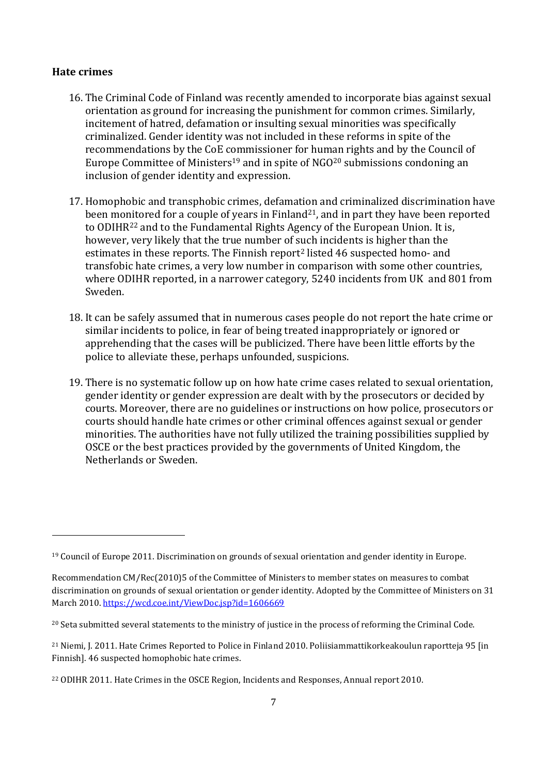#### **Hate crimes**

<u>.</u>

- 16. The Criminal Code of Finland was recently amended to incorporate bias against sexual orientation as ground for increasing the punishment for common crimes. Similarly, incitement of hatred, defamation or insulting sexual minorities was specifically criminalized. Gender identity was not included in these reforms in spite of the recommendations by the CoE commissioner for human rights and by the Council of Europe Committee of Ministers<sup>19</sup> and in spite of NGO<sup>20</sup> submissions condoning an inclusion of gender identity and expression.
- 17. Homophobic and transphobic crimes, defamation and criminalized discrimination have been monitored for a couple of years in Finland<sup>21</sup>, and in part they have been reported to ODIHR<sup>22</sup> and to the Fundamental Rights Agency of the European Union. It is, however, very likely that the true number of such incidents is higher than the estimates in these reports. The Finnish report<sup>2</sup> listed 46 suspected homo- and transfobic hate crimes, a very low number in comparison with some other countries, where ODIHR reported, in a narrower category, 5240 incidents from UK and 801 from Sweden.
- 18. It can be safely assumed that in numerous cases people do not report the hate crime or similar incidents to police, in fear of being treated inappropriately or ignored or apprehending that the cases will be publicized. There have been little efforts by the police to alleviate these, perhaps unfounded, suspicions.
- 19. There is no systematic follow up on how hate crime cases related to sexual orientation, gender identity or gender expression are dealt with by the prosecutors or decided by courts. Moreover, there are no guidelines or instructions on how police, prosecutors or courts should handle hate crimes or other criminal offences against sexual or gender minorities. The authorities have not fully utilized the training possibilities supplied by OSCE or the best practices provided by the governments of United Kingdom, the Netherlands or Sweden.

<sup>19</sup> Council of Europe 2011. Discrimination on grounds of sexual orientation and gender identity in Europe.

Recommendation CM/Rec(2010)5 of the Committee of Ministers to member states on measures to combat discrimination on grounds of sexual orientation or gender identity. Adopted by the Committee of Ministers on 31 March 2010[. https://wcd.coe.int/ViewDoc.jsp?id=1606669](https://wcd.coe.int/ViewDoc.jsp?id=1606669)

<sup>&</sup>lt;sup>20</sup> Seta submitted several statements to the ministry of justice in the process of reforming the Criminal Code.

<sup>21</sup> Niemi, J. 2011. Hate Crimes Reported to Police in Finland 2010. Poliisiammattikorkeakoulun raportteja 95 [in Finnish]. 46 suspected homophobic hate crimes.

<sup>22</sup> ODIHR 2011. Hate Crimes in the OSCE Region, Incidents and Responses, Annual report 2010.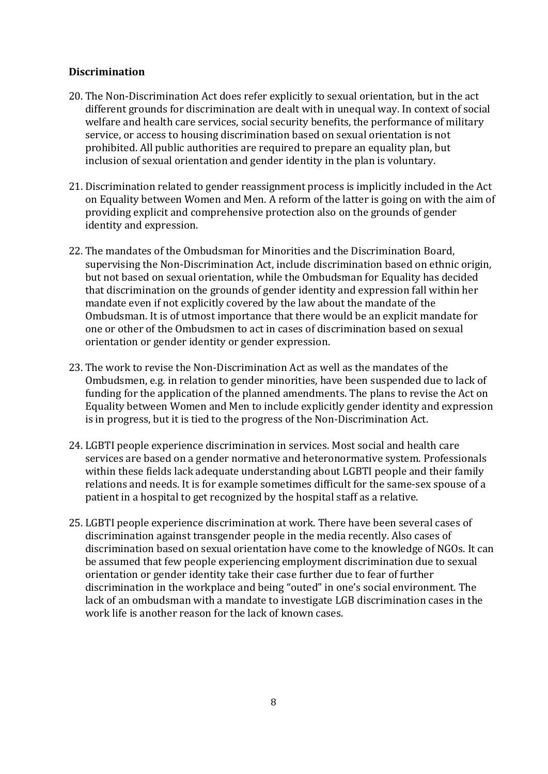#### **Discrimination**

- 20. The Non-Discrimination Act does refer explicitly to sexual orientation, but in the act different grounds for discrimination are dealt with in unequal way. In context of social welfare and health care services, social security benefits, the performance of military service, or access to housing discrimination based on sexual orientation is not prohibited. All public authorities are required to prepare an equality plan, but inclusion of sexual orientation and gender identity in the plan is voluntary.
- 21. Discrimination related to gender reassignment process is implicitly included in the Act on Equality between Women and Men. A reform of the latter is going on with the aim of providing explicit and comprehensive protection also on the grounds of gender identity and expression.
- 22. The mandates of the Ombudsman for Minorities and the Discrimination Board, supervising the Non-Discrimination Act, include discrimination based on ethnic origin, but not based on sexual orientation, while the Ombudsman for Equality has decided that discrimination on the grounds of gender identity and expression fall within her mandate even if not explicitly covered by the law about the mandate of the Ombudsman. It is of utmost importance that there would be an explicit mandate for one or other of the Ombudsmen to act in cases of discrimination based on sexual orientation or gender identity or gender expression.
- 23. The work to revise the Non-Discrimination Act as well as the mandates of the Ombudsmen, e.g. in relation to gender minorities, have been suspended due to lack of funding for the application of the planned amendments. The plans to revise the Act on Equality between Women and Men to include explicitly gender identity and expression is in progress, but it is tied to the progress of the Non-Discrimination Act.
- 24. LGBTI people experience discrimination in services. Most social and health care services are based on a gender normative and heteronormative system. Professionals within these fields lack adequate understanding about LGBTI people and their family relations and needs. It is for example sometimes difficult for the same-sex spouse of a patient in a hospital to get recognized by the hospital staff as a relative.
- 25. LGBTI people experience discrimination at work. There have been several cases of discrimination against transgender people in the media recently. Also cases of discrimination based on sexual orientation have come to the knowledge of NGOs. It can be assumed that few people experiencing employment discrimination due to sexual orientation or gender identity take their case further due to fear of further discrimination in the workplace and being "outed" in one's social environment. The lack of an ombudsman with a mandate to investigate LGB discrimination cases in the work life is another reason for the lack of known cases.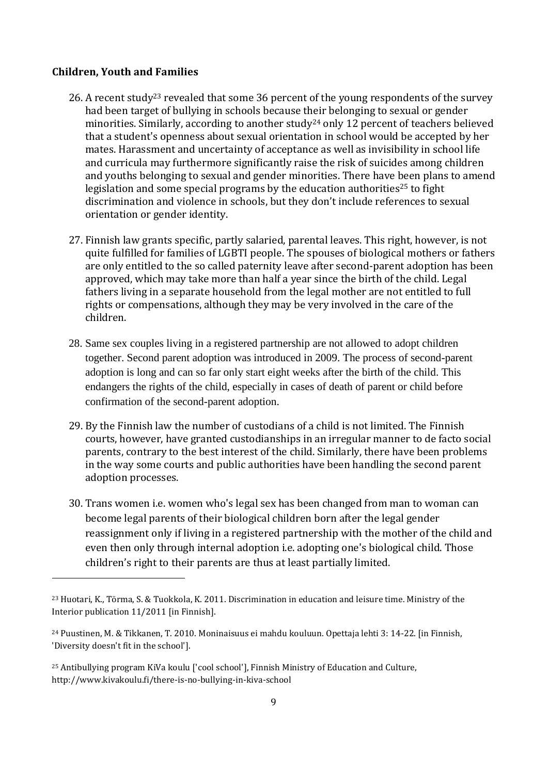## **Children, Youth and Families**

<u>.</u>

- 26. A recent study<sup>23</sup> revealed that some 36 percent of the young respondents of the survey had been target of bullying in schools because their belonging to sexual or gender minorities. Similarly, according to another study<sup>24</sup> only 12 percent of teachers believed that a student's openness about sexual orientation in school would be accepted by her mates. Harassment and uncertainty of acceptance as well as invisibility in school life and curricula may furthermore significantly raise the risk of suicides among children and youths belonging to sexual and gender minorities. There have been plans to amend legislation and some special programs by the education authorities<sup>25</sup> to fight discrimination and violence in schools, but they don't include references to sexual orientation or gender identity.
- 27. Finnish law grants specific, partly salaried, parental leaves. This right, however, is not quite fulfilled for families of LGBTI people. The spouses of biological mothers or fathers are only entitled to the so called paternity leave after second-parent adoption has been approved, which may take more than half a year since the birth of the child. Legal fathers living in a separate household from the legal mother are not entitled to full rights or compensations, although they may be very involved in the care of the children.
- 28. Same sex couples living in a registered partnership are not allowed to adopt children together. Second parent adoption was introduced in 2009. The process of second-parent adoption is long and can so far only start eight weeks after the birth of the child. This endangers the rights of the child, especially in cases of death of parent or child before confirmation of the second-parent adoption.
- 29. By the Finnish law the number of custodians of a child is not limited. The Finnish courts, however, have granted custodianships in an irregular manner to de facto social parents, contrary to the best interest of the child. Similarly, there have been problems in the way some courts and public authorities have been handling the second parent adoption processes.
- 30. Trans women i.e. women who's legal sex has been changed from man to woman can become legal parents of their biological children born after the legal gender reassignment only if living in a registered partnership with the mother of the child and even then only through internal adoption i.e. adopting one's biological child. Those children's right to their parents are thus at least partially limited.

<sup>23</sup> Huotari, K., Törma, S. & Tuokkola, K. 2011. Discrimination in education and leisure time. Ministry of the Interior publication 11/2011 [in Finnish].

<sup>24</sup> Puustinen, M. & Tikkanen, T. 2010. Moninaisuus ei mahdu kouluun. Opettaja lehti 3: 14-22. [in Finnish, 'Diversity doesn't fit in the school'].

<sup>25</sup> Antibullying program KiVa koulu ['cool school'], Finnish Ministry of Education and Culture, http://www.kivakoulu.fi/there-is-no-bullying-in-kiva-school